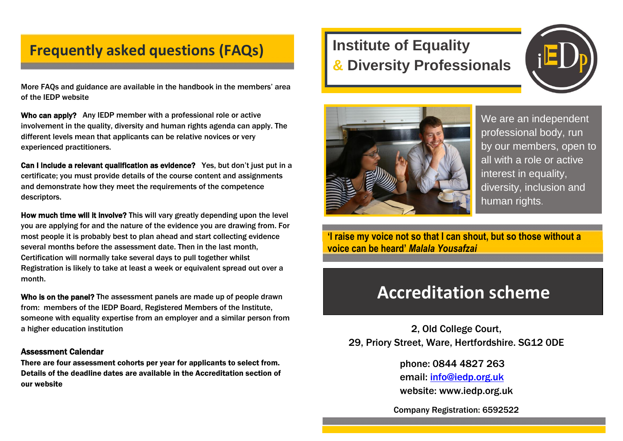## **Frequently asked questions (FAQs)**

More FAQs and guidance are available in the handbook in the members' area of the IEDP website

Who can apply? Any IEDP member with a professional role or active involvement in the quality, diversity and human rights agenda can apply. The different levels mean that applicants can be relative novices or very experienced practitioners.

Can I include a relevant qualification as evidence? Yes, but don't just put in a certificate; you must provide details of the course content and assignments and demonstrate how they meet the requirements of the competence descriptors.

How much time will it involve? This will vary greatly depending upon the level you are applying for and the nature of the evidence you are drawing from. For most people it is probably best to plan ahead and start collecting evidence several months before the assessment date. Then in the last month, Certification will normally take several days to pull together whilst Registration is likely to take at least a week or equivalent spread out over a month.

Who is on the panel? The assessment panels are made up of people drawn from: members of the IEDP Board, Registered Members of the Institute, someone with equality expertise from an employer and a similar person from a higher education institution

#### Assessment Calendar

There are four assessment cohorts per year for applicants to select from. Details of the deadline dates are available in the Accreditation section of our website

# **Institute of Equality & Diversity Professionals**





We are an independent professional body, run by our members, open to all with a role or active interest in equality, diversity, inclusion and human rights.

**'I raise my voice not so that I can shout, but so those without a voice can be heard'** *Malala Yousafzai*

# **Accreditation scheme**

2, Old College Court, 29, Priory Street, Ware, Hertfordshire. SG12 0DE

> phone: 0844 4827 263 email: [info@iedp.org.uk](mailto:info@iedp.org.uk) website: www.iedp.org.uk

Company Registration: 6592522